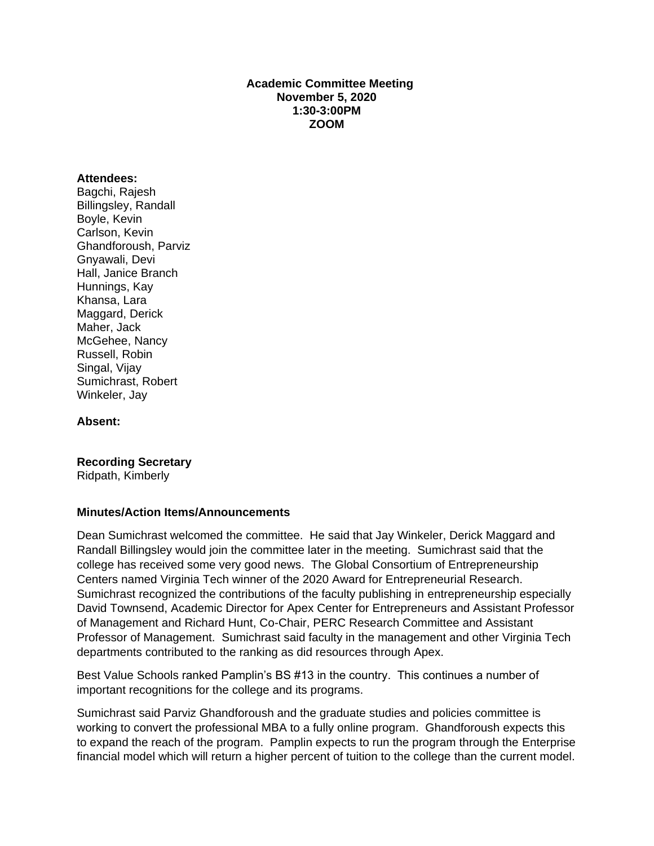**Academic Committee Meeting November 5, 2020 1:30-3:00PM ZOOM** 

#### **Attendees:**

Bagchi, Rajesh Billingsley, Randall Boyle, Kevin Carlson, Kevin Ghandforoush, Parviz Gnyawali, Devi Hall, Janice Branch Hunnings, Kay Khansa, Lara Maggard, Derick Maher, Jack McGehee, Nancy Russell, Robin Singal, Vijay Sumichrast, Robert Winkeler, Jay

#### **Absent:**

### **Recording Secretary**

Ridpath, Kimberly

#### **Minutes/Action Items/Announcements**

Dean Sumichrast welcomed the committee. He said that Jay Winkeler, Derick Maggard and Randall Billingsley would join the committee later in the meeting. Sumichrast said that the college has received some very good news. The Global Consortium of Entrepreneurship Centers named Virginia Tech winner of the 2020 Award for Entrepreneurial Research. Sumichrast recognized the contributions of the faculty publishing in entrepreneurship especially David Townsend, Academic Director for Apex Center for Entrepreneurs and Assistant Professor of Management and Richard Hunt, Co-Chair, PERC Research Committee and Assistant Professor of Management. Sumichrast said faculty in the management and other Virginia Tech departments contributed to the ranking as did resources through Apex.

Best Value Schools ranked Pamplin's BS #13 in the country. This continues a number of important recognitions for the college and its programs.

Sumichrast said Parviz Ghandforoush and the graduate studies and policies committee is working to convert the professional MBA to a fully online program. Ghandforoush expects this to expand the reach of the program. Pamplin expects to run the program through the Enterprise financial model which will return a higher percent of tuition to the college than the current model.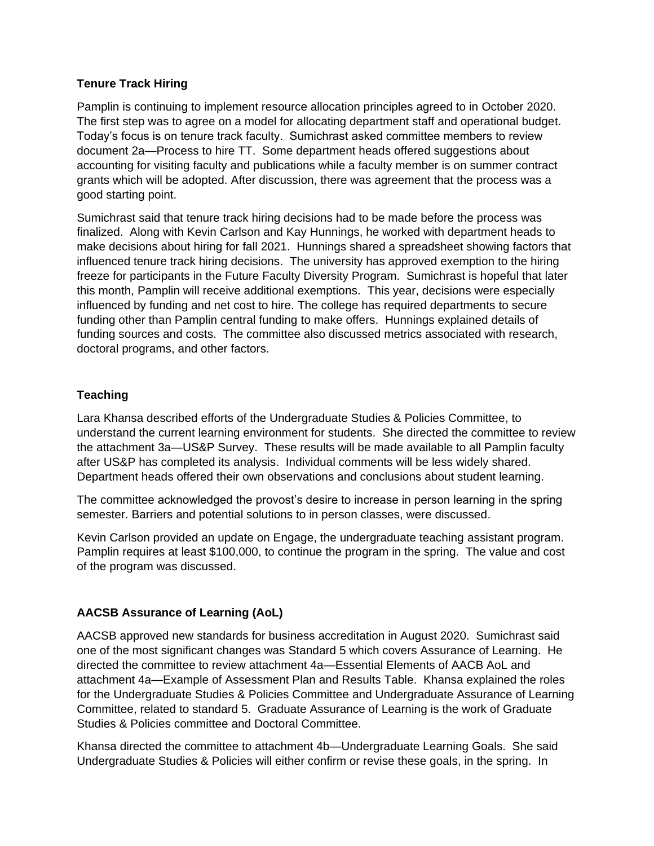### **Tenure Track Hiring**

Pamplin is continuing to implement resource allocation principles agreed to in October 2020. The first step was to agree on a model for allocating department staff and operational budget. Today's focus is on tenure track faculty. Sumichrast asked committee members to review document 2a—Process to hire TT. Some department heads offered suggestions about accounting for visiting faculty and publications while a faculty member is on summer contract grants which will be adopted. After discussion, there was agreement that the process was a good starting point.

Sumichrast said that tenure track hiring decisions had to be made before the process was finalized. Along with Kevin Carlson and Kay Hunnings, he worked with department heads to make decisions about hiring for fall 2021. Hunnings shared a spreadsheet showing factors that influenced tenure track hiring decisions. The university has approved exemption to the hiring freeze for participants in the Future Faculty Diversity Program. Sumichrast is hopeful that later this month, Pamplin will receive additional exemptions. This year, decisions were especially influenced by funding and net cost to hire. The college has required departments to secure funding other than Pamplin central funding to make offers. Hunnings explained details of funding sources and costs. The committee also discussed metrics associated with research, doctoral programs, and other factors.

### **Teaching**

Lara Khansa described efforts of the Undergraduate Studies & Policies Committee, to understand the current learning environment for students. She directed the committee to review the attachment 3a—US&P Survey. These results will be made available to all Pamplin faculty after US&P has completed its analysis. Individual comments will be less widely shared. Department heads offered their own observations and conclusions about student learning.

The committee acknowledged the provost's desire to increase in person learning in the spring semester. Barriers and potential solutions to in person classes, were discussed.

Kevin Carlson provided an update on Engage, the undergraduate teaching assistant program. Pamplin requires at least \$100,000, to continue the program in the spring. The value and cost of the program was discussed.

# **AACSB Assurance of Learning (AoL)**

AACSB approved new standards for business accreditation in August 2020. Sumichrast said one of the most significant changes was Standard 5 which covers Assurance of Learning. He directed the committee to review attachment 4a—Essential Elements of AACB AoL and attachment 4a—Example of Assessment Plan and Results Table. Khansa explained the roles for the Undergraduate Studies & Policies Committee and Undergraduate Assurance of Learning Committee, related to standard 5. Graduate Assurance of Learning is the work of Graduate Studies & Policies committee and Doctoral Committee.

Khansa directed the committee to attachment 4b—Undergraduate Learning Goals. She said Undergraduate Studies & Policies will either confirm or revise these goals, in the spring. In